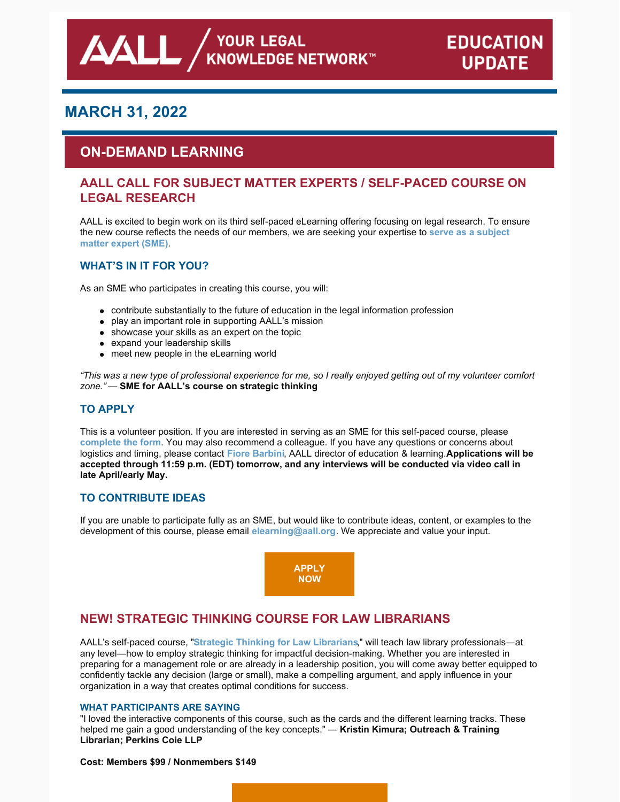# **MARCH 31, 2022**

AALL,

# **ON-DEMAND LEARNING**

## **AALL CALL FOR SUBJECT MATTER EXPERTS / SELF-PACED COURSE ON LEGAL RESEARCH**

AALL is excited to begin work on its third self-paced eLearning offering focusing on legal research. To ensure the new course reflects the needs of our [members,](https://www.aallnet.org/wp-content/uploads/2022/02/Legal-Research-Call-for-SMEs_FINAL.pdf) we are seeking your expertise to **serve as a subject matter expert (SME)**.

### **WHAT'S IN IT FOR YOU?**

As an SME who participates in creating this course, you will:

- contribute substantially to the future of education in the legal information profession
- play an important role in supporting AALL's mission
- showcase your skills as an expert on the topic
- expand your leadership skills
- meet new people in the eLearning world

"This was a new type of professional experience for me, so I really enjoyed getting out of my volunteer comfort *zone."* — **SME for AALL's course on strategic thinking**

### **TO APPLY**

This is a volunteer position. If you are interested in serving as an SME for this self-paced course, please **[complete](https://www.aallnet.org/education-training/elearning/sme/) the form**. You may also recommend a colleague. If you have any questions or concerns about logistics and timing, please contact **Fiore [Barbini](mailto:fbarbini@aall.org)**, AALL director of education & learning.**Applications will be accepted through 11:59 p.m. (EDT) tomorrow, and any interviews will be conducted via video call in late April/early May.**

## **TO CONTRIBUTE IDEAS**

If you are unable to participate fully as an SME, but would like to contribute ideas, content, or examples to the development of this course, please email **[elearning@aall.org](mailto:elearning@aall.org)**. We appreciate and value your input.



## **NEW! STRATEGIC THINKING COURSE FOR LAW LIBRARIANS**

AALL's self-paced course, "**Strategic Thinking for Law [Librarians](https://elearning.aallnet.org/products/strategic-thinking-for-law-librarians)**," will teach law library professionals—at any level—how to employ strategic thinking for impactful decision-making. Whether you are interested in preparing for a management role or are already in a leadership position, you will come away better equipped to confidently tackle any decision (large or small), make a compelling argument, and apply influence in your organization in a way that creates optimal conditions for success.

#### **WHAT PARTICIPANTS ARE SAYING**

"I loved the interactive components of this course, such as the cards and the different learning tracks. These helped me gain a good understanding of the key concepts." — **Kristin Kimura; Outreach & Training Librarian; Perkins Coie LLP**

#### **Cost: Members \$99 / Nonmembers \$149**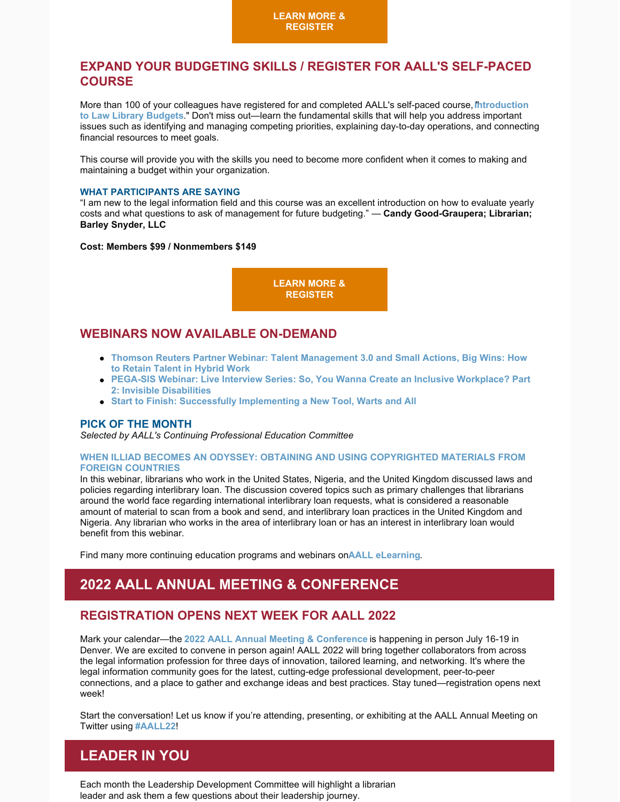## **EXPAND YOUR BUDGETING SKILLS / REGISTER FOR AALL'S SELF-PACED COURSE**

More than 100 of your colleagues have registered for and completed AALL's self-paced course,**I**"**[ntroduction](https://elearning.aallnet.org/products/introduction-to-law-library-budgets-2) to Law Library Budgets**." Don't miss out—learn the fundamental skills that will help you address important issues such as identifying and managing competing priorities, explaining day-to-day operations, and connecting financial resources to meet goals.

This course will provide you with the skills you need to become more confident when it comes to making and maintaining a budget within your organization.

#### **WHAT PARTICIPANTS ARE SAYING**

"I am new to the legal information field and this course was an excellent introduction on how to evaluate yearly costs and what questions to ask of management for future budgeting." — **Candy Good-Graupera; Librarian; Barley Snyder, LLC**

#### **Cost: Members \$99 / Nonmembers \$149**



## **WEBINARS NOW AVAILABLE ON-DEMAND**

- **Thomson Reuters Partner Webinar: Talent [Management](https://elearning.aallnet.org/products/talent-management-30-and-small-actions-big-wins-how-to-retain-talent-in-hybrid-work-thomson-reuters-partner-webinar) 3.0 and Small Actions, Big Wins: How to Retain Talent in Hybrid Work**
- **PEGA-SIS Webinar: Live Interview Series: So, You Wanna Create an Inclusive [Workplace?](https://elearning.aallnet.org/products/live-interview-series-so-you-wanna-create-an-inclusive-workplace-part-2-invisible-disabilities) Part 2: Invisible Disabilities**
- **Start to Finish: Successfully [Implementing](https://elearning.aallnet.org/products/start-to-finish-successfully-implementing-a-new-tool-warts-and-all) a New Tool, Warts and All**

#### **PICK OF THE MONTH**

*Selected by AALL's Continuing Professional Education Committee*

#### **WHEN ILLIAD BECOMES AN ODYSSEY: OBTAINING AND USING [COPYRIGHTED](https://elearning.aallnet.org/products/when-illiad-becomes-an-odyssey-obtaining-and-using-copyrighted-materials-from-foreign-countries) MATERIALS FROM FOREIGN COUNTRIES**

In this webinar, librarians who work in the United States, Nigeria, and the United Kingdom discussed laws and policies regarding interlibrary loan. The discussion covered topics such as primary challenges that librarians around the world face regarding international interlibrary loan requests, what is considered a reasonable amount of material to scan from a book and send, and interlibrary loan practices in the United Kingdom and Nigeria. Any librarian who works in the area of interlibrary loan or has an interest in interlibrary loan would benefit from this webinar.

Find many more continuing education programs and webinars on**AALL [eLearning](https://elearning.aallnet.org/)**.

# **2022 AALL ANNUAL MEETING & CONFERENCE**

## **REGISTRATION OPENS NEXT WEEK FOR AALL 2022**

Mark your calendar—the **2022 AALL Annual Meeting & [Conference](https://www.aallnet.org/conference/)** is happening in person July 16-19 in Denver. We are excited to convene in person again! AALL 2022 will bring together collaborators from across the legal information profession for three days of innovation, tailored learning, and networking. It's where the legal information community goes for the latest, cutting-edge professional development, peer-to-peer connections, and a place to gather and exchange ideas and best practices. Stay tuned—registration opens next week!

Start the conversation! Let us know if you're attending, presenting, or exhibiting at the AALL Annual Meeting on Twitter using **[#AALL22](https://twitter.com/search?q=AALL22&src=typed_query)**!

# **LEADER IN YOU**

Each month the Leadership Development Committee will highlight a librarian leader and ask them a few questions about their leadership journey.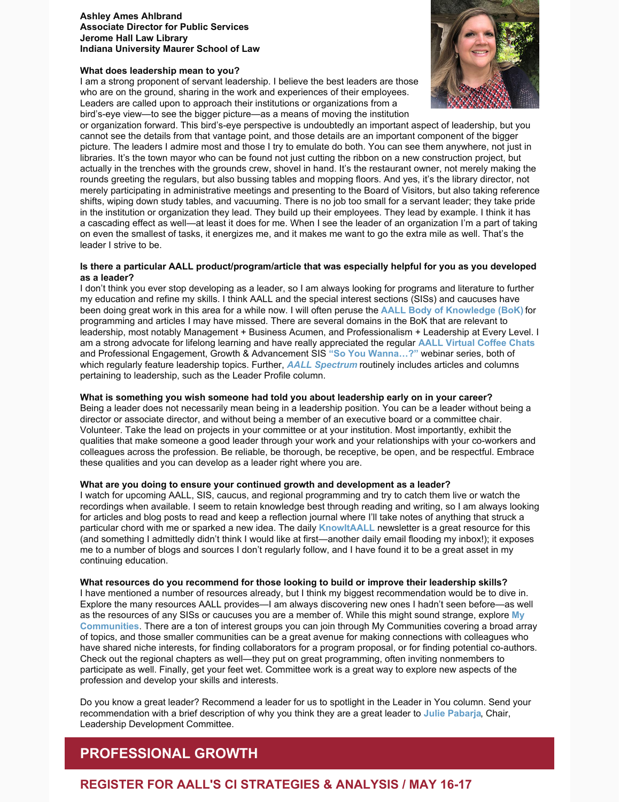#### **Ashley Ames Ahlbrand Associate Director for Public Services Jerome Hall Law Library Indiana University Maurer School of Law**

#### **What does leadership mean to you?**

I am a strong proponent of servant leadership. I believe the best leaders are those who are on the ground, sharing in the work and experiences of their employees. Leaders are called upon to approach their institutions or organizations from a bird's-eye view—to see the bigger picture—as a means of moving the institution



or organization forward. This bird's-eye perspective is undoubtedly an important aspect of leadership, but you cannot see the details from that vantage point, and those details are an important component of the bigger picture. The leaders I admire most and those I try to emulate do both. You can see them anywhere, not just in libraries. It's the town mayor who can be found not just cutting the ribbon on a new construction project, but actually in the trenches with the grounds crew, shovel in hand. It's the restaurant owner, not merely making the rounds greeting the regulars, but also bussing tables and mopping floors. And yes, it's the library director, not merely participating in administrative meetings and presenting to the Board of Visitors, but also taking reference shifts, wiping down study tables, and vacuuming. There is no job too small for a servant leader; they take pride in the institution or organization they lead. They build up their employees. They lead by example. I think it has a cascading effect as well—at least it does for me. When I see the leader of an organization I'm a part of taking on even the smallest of tasks, it energizes me, and it makes me want to go the extra mile as well. That's the leader I strive to be.

#### **Is there a particular AALL product/program/article that was especially helpful for you as you developed as a leader?**

I don't think you ever stop developing as a leader, so I am always looking for programs and literature to further my education and refine my skills. I think AALL and the special interest sections (SISs) and caucuses have been doing great work in this area for a while now. I will often peruse the **AALL Body of [Knowledge](https://www.aallnet.org/education-training/bok/domains/) (BoK)** for programming and articles I may have missed. There are several domains in the BoK that are relevant to leadership, most notably Management + Business Acumen, and Professionalism + Leadership at Every Level. I am a strong advocate for lifelong learning and have really appreciated the regular **AALL [Virtual](https://elearning.aallnet.org/catalog#form_type=catalog-filter&page=1&webinar_type=0&product_type%5B%5D=1691&date%5Bstart%5D=&date%5Bend%5D=&keywords=&sort_by=new_to_old) Coffee Chats** and Professional Engagement, Growth & Advancement SIS **"So You [Wanna…?"](https://elearning.aallnet.org/catalog#form_type=catalog-filter&page=1&webinar_type=0&product_type%5B%5D=1434&date%5Bstart%5D=&date%5Bend%5D=&keywords=live interview series&sort_by=new_to_old)** webinar series, both of which regularly feature leadership topics. Further, *AALL [Spectrum](https://www.aallnet.org/resources-publications/publications/aall-spectrum/)* routinely includes articles and columns pertaining to leadership, such as the Leader Profile column.

#### **What is something you wish someone had told you about leadership early on in your career?**

Being a leader does not necessarily mean being in a leadership position. You can be a leader without being a director or associate director, and without being a member of an executive board or a committee chair. Volunteer. Take the lead on projects in your committee or at your institution. Most importantly, exhibit the qualities that make someone a good leader through your work and your relationships with your co-workers and colleagues across the profession. Be reliable, be thorough, be receptive, be open, and be respectful. Embrace these qualities and you can develop as a leader right where you are.

#### **What are you doing to ensure your continued growth and development as a leader?**

I watch for upcoming AALL, SIS, caucus, and regional programming and try to catch them live or watch the recordings when available. I seem to retain knowledge best through reading and writing, so I am always looking for articles and blog posts to read and keep a reflection journal where I'll take notes of anything that struck a particular chord with me or sparked a new idea. The daily **[KnowItAALL](https://www.aallnet.org/resources-publications/publications/knowitaall/)** newsletter is a great resource for this (and something I admittedly didn't think I would like at first—another daily email flooding my inbox!); it exposes me to a number of blogs and sources I don't regularly follow, and I have found it to be a great asset in my continuing education.

#### **What resources do you recommend for those looking to build or improve their leadership skills?**

I have mentioned a number of resources already, but I think my biggest recommendation would be to dive in. Explore the many resources AALL provides—I am always discovering new ones I hadn't seen before—as well as the resources of any SISs or caucuses you are a member of. While this might sound strange, explore **My [Communities](https://community.aallnet.org/home)**. There are a ton of interest groups you can join through My Communities covering a broad array of topics, and those smaller communities can be a great avenue for making connections with colleagues who have shared niche interests, for finding collaborators for a program proposal, or for finding potential co-authors. Check out the regional chapters as well—they put on great programming, often inviting nonmembers to participate as well. Finally, get your feet wet. Committee work is a great way to explore new aspects of the profession and develop your skills and interests.

Do you know a great leader? Recommend a leader for us to spotlight in the Leader in You column. Send your recommendation with a brief description of why you think they are a great leader to **Julie [Pabarja](mailto:julie.pabarja@lw.com)**, Chair, Leadership Development Committee.

# **PROFESSIONAL GROWTH**

## **REGISTER FOR AALL'S CI STRATEGIES & ANALYSIS / MAY 16-17**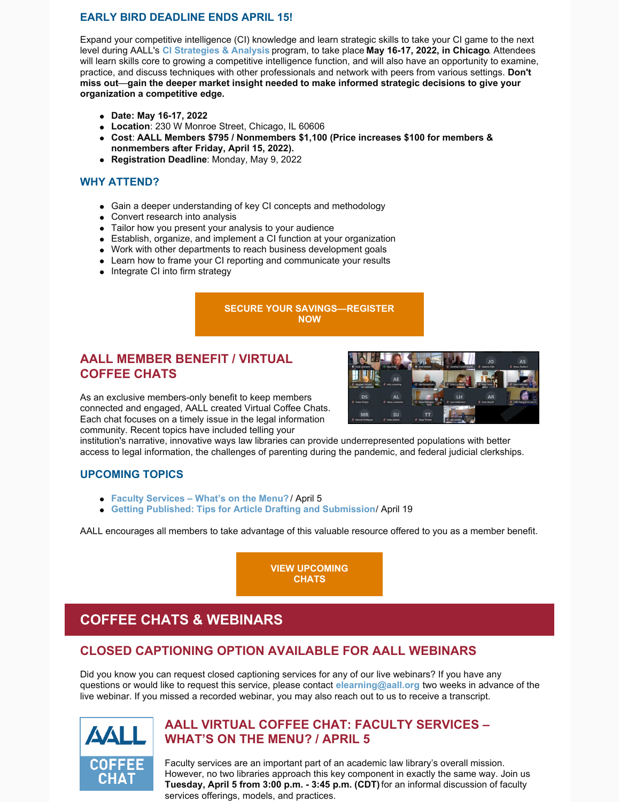### **EARLY BIRD DEADLINE ENDS APRIL 15!**

Expand your competitive intelligence (CI) knowledge and learn strategic skills to take your CI game to the next level during AALL's **CI [Strategies](https://www.aallnet.org/education-training/in-person-programs-seminars/competitive-intelligence-series/ci-strategies-analysis/) & Analysis** program, to take place **May 16-17, 2022, in Chicago**. Attendees will learn skills core to growing a competitive intelligence function, and will also have an opportunity to examine, practice, and discuss techniques with other professionals and network with peers from various settings. **Don't miss out**—**gain the deeper market insight needed to make informed strategic decisions to give your organization a competitive edge.**

- **Date: May 16-17, 2022**
- **Location**: 230 W Monroe Street, Chicago, IL 60606
- **Cost**: **AALL Members \$795 / Nonmembers \$1,100 (Price increases \$100 for members & nonmembers after Friday, April 15, 2022).**
- **Registration Deadline**: Monday, May 9, 2022

### **WHY ATTEND?**

- Gain a deeper understanding of key CI concepts and methodology
- Convert research into analysis
- Tailor how you present your analysis to your audience
- Establish, organize, and implement a CI function at your organization
- Work with other departments to reach business development goals
- Learn how to frame your CI reporting and communicate your results
- Integrate CI into firm strategy

### **SECURE YOUR [SAVINGS—REGISTER](https://www.aallnet.org/education-training/in-person-programs-seminars/competitive-intelligence-series/ci-strategies-analysis/) NOW**

## **AALL MEMBER BENEFIT / VIRTUAL COFFEE CHATS**

As an exclusive members-only benefit to keep members connected and engaged, AALL created Virtual Coffee Chats. Each chat focuses on a timely issue in the legal information community. Recent topics have included telling your



institution's narrative, innovative ways law libraries can provide underrepresented populations with better access to legal information, the challenges of parenting during the pandemic, and federal judicial clerkships.

### **UPCOMING TOPICS**

- **Faculty [Services](https://elearning.aallnet.org/products/virtual-coffee-chat-faculty-services-whats-on-the-menu) – What's on the Menu?** / April 5
- **Getting Published: Tips for Article Drafting and [Submission](https://elearning.aallnet.org/products/virtual-coffee-chat-getting-published-tips-for-article-drafting-and-submission)**/ April 19

AALL encourages all members to take advantage of this valuable resource offered to you as a member benefit.

**VIEW [UPCOMING](https://www.aallnet.org/forms/MeetingCalendar/) CHATS**

# **COFFEE CHATS & WEBINARS**

## **CLOSED CAPTIONING OPTION AVAILABLE FOR AALL WEBINARS**

Did you know you can request closed captioning services for any of our live webinars? If you have any questions or would like to request this service, please contact **[elearning@aall.org](mailto:elearning@aall.org)** two weeks in advance of the live webinar. If you missed a recorded webinar, you may also reach out to us to receive a transcript.



## **AALL VIRTUAL COFFEE CHAT: FACULTY SERVICES – WHAT'S ON THE MENU? / APRIL 5**

Faculty services are an important part of an academic law library's overall mission. However, no two libraries approach this key component in exactly the same way. Join us **Tuesday, April 5 from 3:00 p.m. - 3:45 p.m. (CDT)**for an informal discussion of faculty services offerings, models, and practices.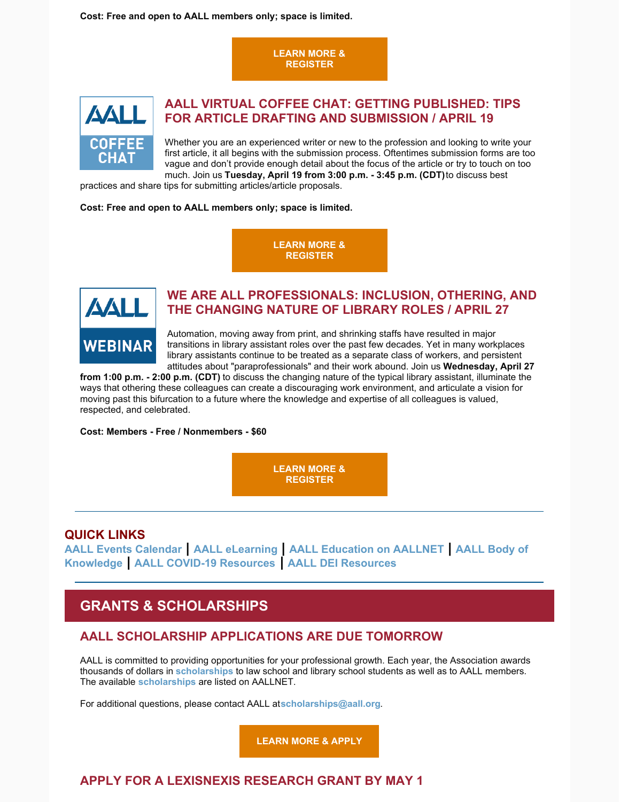**Cost: Free and open to AALL members only; space is limited.**

**LEARN MORE & [REGISTER](https://elearning.aallnet.org/products/virtual-coffee-chat-faculty-services-whats-on-the-menu)**



## **AALL VIRTUAL COFFEE CHAT: GETTING PUBLISHED: TIPS FOR ARTICLE DRAFTING AND SUBMISSION / APRIL 19**

Whether you are an experienced writer or new to the profession and looking to write your first article, it all begins with the submission process. Oftentimes submission forms are too vague and don't provide enough detail about the focus of the article or try to touch on too much. Join us **Tuesday, April 19 from 3:00 p.m. - 3:45 p.m. (CDT)**to discuss best

practices and share tips for submitting articles/article proposals.

**Cost: Free and open to AALL members only; space is limited.**

**LEARN MORE & [REGISTER](https://elearning.aallnet.org/products/virtual-coffee-chat-getting-published-tips-for-article-drafting-and-submission)**



## **WE ARE ALL PROFESSIONALS: INCLUSION, OTHERING, AND THE CHANGING NATURE OF LIBRARY ROLES / APRIL 27**

Automation, moving away from print, and shrinking staffs have resulted in major transitions in library assistant roles over the past few decades. Yet in many workplaces library assistants continue to be treated as a separate class of workers, and persistent attitudes about "paraprofessionals" and their work abound. Join us **Wednesday, April 27**

**from 1:00 p.m. - 2:00 p.m. (CDT)** to discuss the changing nature of the typical library assistant, illuminate the ways that othering these colleagues can create a discouraging work environment, and articulate a vision for moving past this bifurcation to a future where the knowledge and expertise of all colleagues is valued, respected, and celebrated.

**Cost: Members - Free / Nonmembers - \$60**

**LEARN MORE & [REGISTER](https://elearning.aallnet.org/products/we-are-all-professionals-inclusion-othering-and-the-changing-nature-of-library-roles)**

### **QUICK LINKS**

**AALL Events [Calendar](https://www.aallnet.org/forms/MeetingCalendar/) | AALL [eLearning](https://elearning.aallnet.org/) | AALL [Education](https://www.aallnet.org/education-training/) on AALLNET | AALL Body of [Knowledge](https://www.aallnet.org/education-training/bok/) | AALL COVID-19 [Resources](https://www.aallnet.org/about-us/press-room/coronavirus/) | AALL DEI [Resources](https://www.aallnet.org/about-us/press-room/anti-racism-diversity-equity-inclusion/)**

# **GRANTS & SCHOLARSHIPS**

## **AALL SCHOLARSHIP APPLICATIONS ARE DUE TOMORROW**

AALL is committed to providing opportunities for your professional growth. Each year, the Association awards thousands of dollars in **[scholarships](https://www.aallnet.org/education-training/scholarships/)** to law school and library school students as well as to AALL members. The available **[scholarships](https://www.aallnet.org/education-training/scholarships/)** are listed on AALLNET.

For additional questions, please contact AALL at**[scholarships@aall.org](mailto:scholarships@aall.org)**.

**[LEARN](https://www.aallnet.org/education-training/scholarships/) MORE & APPLY**

# **APPLY FOR A LEXISNEXIS RESEARCH GRANT BY MAY 1**